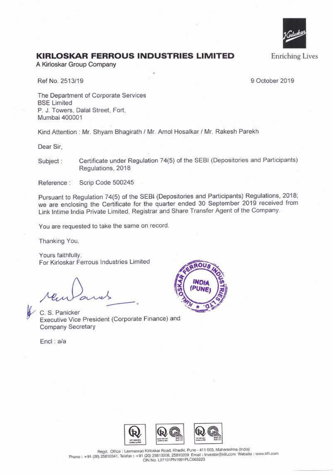

**Enriching Lives** 

## **KIRLOSKAR FERROUS INDUSTRIES LIMITED**

A Kirloskar Group Company

Ref No. 2513/19

9 October 2019

The Department of Corporate Services **BSE Limited** P. J. Towers, Dalal Street, Fort, Mumbai 400001

Kind Attention: Mr. Shyam Bhagirath / Mr. Amol Hosalkar / Mr. Rakesh Parekh

Dear Sir.

Certificate under Regulation 74(5) of the SEBI (Depositories and Participants) Subject: Regulations, 2018

Reference: Scrip Code 500245

Pursuant to Regulation 74(5) of the SEBI (Depositories and Participants) Regulations, 2018; we are enclosing the Certificate for the quarter ended 30 September 2019 received from Link Intime India Private Limited, Registrar and Share Transfer Agent of the Company.

You are requested to take the same on record.

Thanking You,

Yours faithfully. For Kirloskar Ferrous Industries Limited

C. S. Panicker Executive Vice President (Corporate Finance) and Company Secretary